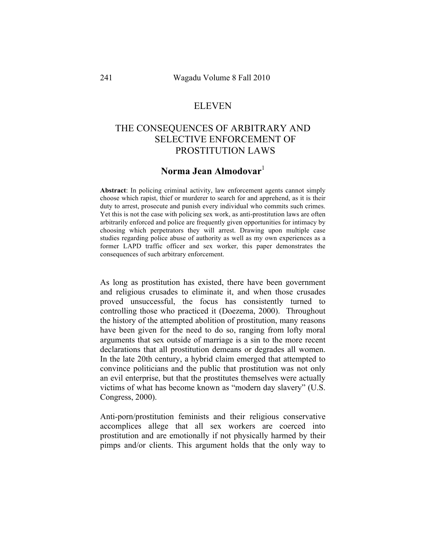### ELEVEN

# THE CONSEQUENCES OF ARBITRARY AND SELECTIVE ENFORCEMENT OF PROSTITUTION LAWS

## Norma Jean Almodovar<sup>1</sup>

**Abstract**: In policing criminal activity, law enforcement agents cannot simply choose which rapist, thief or murderer to search for and apprehend, as it is their duty to arrest, prosecute and punish every individual who commits such crimes. Yet this is not the case with policing sex work, as anti-prostitution laws are often arbitrarily enforced and police are frequently given opportunities for intimacy by choosing which perpetrators they will arrest. Drawing upon multiple case studies regarding police abuse of authority as well as my own experiences as a former LAPD traffic officer and sex worker, this paper demonstrates the consequences of such arbitrary enforcement.

As long as prostitution has existed, there have been government and religious crusades to eliminate it, and when those crusades proved unsuccessful, the focus has consistently turned to controlling those who practiced it (Doezema, 2000). Throughout the history of the attempted abolition of prostitution, many reasons have been given for the need to do so, ranging from lofty moral arguments that sex outside of marriage is a sin to the more recent declarations that all prostitution demeans or degrades all women. In the late 20th century, a hybrid claim emerged that attempted to convince politicians and the public that prostitution was not only an evil enterprise, but that the prostitutes themselves were actually victims of what has become known as "modern day slavery" (U.S. Congress, 2000).

Anti-porn/prostitution feminists and their religious conservative accomplices allege that all sex workers are coerced into prostitution and are emotionally if not physically harmed by their pimps and/or clients. This argument holds that the only way to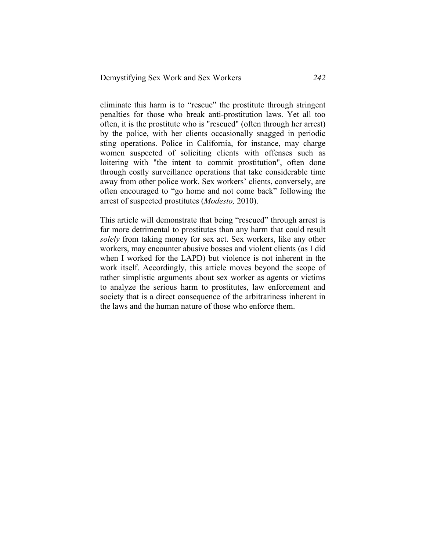eliminate this harm is to "rescue" the prostitute through stringent penalties for those who break anti-prostitution laws. Yet all too often, it is the prostitute who is "rescued" (often through her arrest) by the police, with her clients occasionally snagged in periodic sting operations. Police in California, for instance, may charge women suspected of soliciting clients with offenses such as loitering with "the intent to commit prostitution", often done through costly surveillance operations that take considerable time away from other police work. Sex workers' clients, conversely, are often encouraged to "go home and not come back" following the arrest of suspected prostitutes (*Modesto,* 2010).

This article will demonstrate that being "rescued" through arrest is far more detrimental to prostitutes than any harm that could result *solely* from taking money for sex act. Sex workers, like any other workers, may encounter abusive bosses and violent clients (as I did when I worked for the LAPD) but violence is not inherent in the work itself. Accordingly, this article moves beyond the scope of rather simplistic arguments about sex worker as agents or victims to analyze the serious harm to prostitutes, law enforcement and society that is a direct consequence of the arbitrariness inherent in the laws and the human nature of those who enforce them.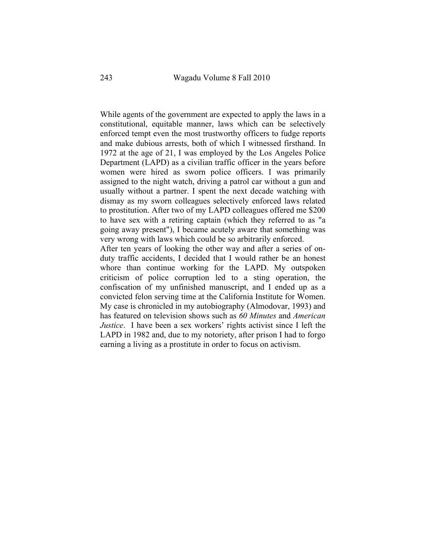While agents of the government are expected to apply the laws in a constitutional, equitable manner, laws which can be selectively enforced tempt even the most trustworthy officers to fudge reports and make dubious arrests, both of which I witnessed firsthand. In 1972 at the age of 21, I was employed by the Los Angeles Police Department (LAPD) as a civilian traffic officer in the years before women were hired as sworn police officers. I was primarily assigned to the night watch, driving a patrol car without a gun and usually without a partner. I spent the next decade watching with dismay as my sworn colleagues selectively enforced laws related to prostitution. After two of my LAPD colleagues offered me \$200 to have sex with a retiring captain (which they referred to as "a going away present"), I became acutely aware that something was very wrong with laws which could be so arbitrarily enforced.

After ten years of looking the other way and after a series of onduty traffic accidents, I decided that I would rather be an honest whore than continue working for the LAPD. My outspoken criticism of police corruption led to a sting operation, the confiscation of my unfinished manuscript, and I ended up as a convicted felon serving time at the California Institute for Women. My case is chronicled in my autobiography (Almodovar, 1993) and has featured on television shows such as *60 Minutes* and *American Justice*. I have been a sex workers' rights activist since I left the LAPD in 1982 and, due to my notoriety, after prison I had to forgo earning a living as a prostitute in order to focus on activism.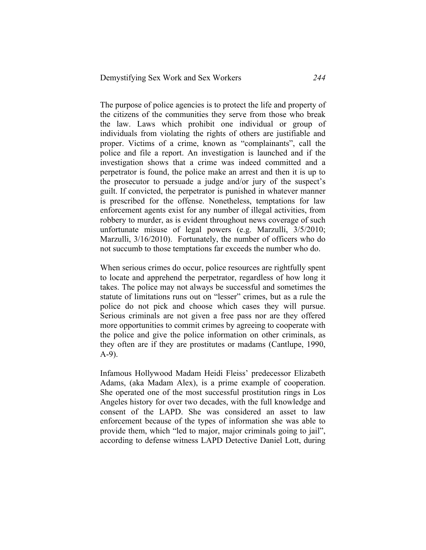The purpose of police agencies is to protect the life and property of the citizens of the communities they serve from those who break the law. Laws which prohibit one individual or group of individuals from violating the rights of others are justifiable and proper. Victims of a crime, known as "complainants", call the police and file a report. An investigation is launched and if the investigation shows that a crime was indeed committed and a perpetrator is found, the police make an arrest and then it is up to the prosecutor to persuade a judge and/or jury of the suspect's guilt. If convicted, the perpetrator is punished in whatever manner is prescribed for the offense. Nonetheless, temptations for law enforcement agents exist for any number of illegal activities, from robbery to murder, as is evident throughout news coverage of such unfortunate misuse of legal powers (e.g. Marzulli, 3/5/2010; Marzulli, 3/16/2010). Fortunately, the number of officers who do not succumb to those temptations far exceeds the number who do.

When serious crimes do occur, police resources are rightfully spent to locate and apprehend the perpetrator, regardless of how long it takes. The police may not always be successful and sometimes the statute of limitations runs out on "lesser" crimes, but as a rule the police do not pick and choose which cases they will pursue. Serious criminals are not given a free pass nor are they offered more opportunities to commit crimes by agreeing to cooperate with the police and give the police information on other criminals, as they often are if they are prostitutes or madams (Cantlupe, 1990, A-9).

Infamous Hollywood Madam Heidi Fleiss' predecessor Elizabeth Adams, (aka Madam Alex), is a prime example of cooperation. She operated one of the most successful prostitution rings in Los Angeles history for over two decades, with the full knowledge and consent of the LAPD. She was considered an asset to law enforcement because of the types of information she was able to provide them, which "led to major, major criminals going to jail", according to defense witness LAPD Detective Daniel Lott, during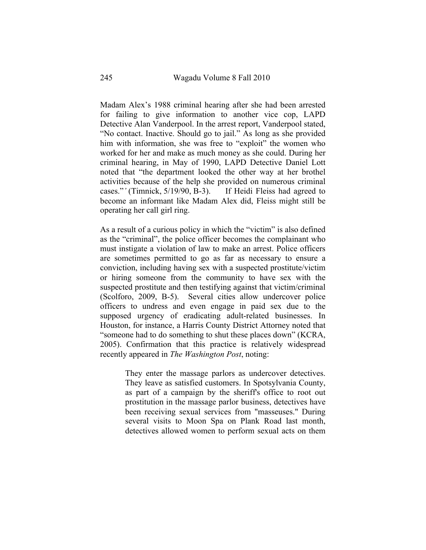Madam Alex's 1988 criminal hearing after she had been arrested for failing to give information to another vice cop, LAPD Detective Alan Vanderpool. In the arrest report, Vanderpool stated, "No contact. Inactive. Should go to jail." As long as she provided him with information, she was free to "exploit" the women who worked for her and make as much money as she could. During her criminal hearing, in May of 1990, LAPD Detective Daniel Lott noted that "the department looked the other way at her brothel activities because of the help she provided on numerous criminal cases."*'* (Timnick, 5/19/90, B-3). If Heidi Fleiss had agreed to become an informant like Madam Alex did, Fleiss might still be operating her call girl ring.

As a result of a curious policy in which the "victim" is also defined as the "criminal", the police officer becomes the complainant who must instigate a violation of law to make an arrest. Police officers are sometimes permitted to go as far as necessary to ensure a conviction, including having sex with a suspected prostitute/victim or hiring someone from the community to have sex with the suspected prostitute and then testifying against that victim/criminal (Scolforo, 2009, B-5). Several cities allow undercover police officers to undress and even engage in paid sex due to the supposed urgency of eradicating adult-related businesses. In Houston, for instance, a Harris County District Attorney noted that "someone had to do something to shut these places down" (KCRA, 2005). Confirmation that this practice is relatively widespread recently appeared in *The Washington Post*, noting:

> They enter the massage parlors as undercover detectives. They leave as satisfied customers. In Spotsylvania County, as part of a campaign by the sheriff's office to root out prostitution in the massage parlor business, detectives have been receiving sexual services from "masseuses." During several visits to Moon Spa on Plank Road last month, detectives allowed women to perform sexual acts on them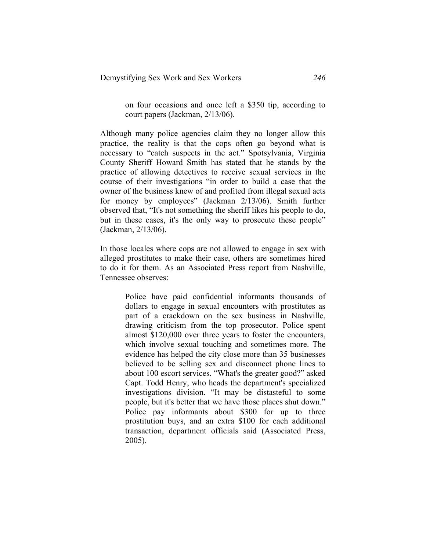on four occasions and once left a \$350 tip, according to court papers (Jackman, 2/13/06).

Although many police agencies claim they no longer allow this practice, the reality is that the cops often go beyond what is necessary to "catch suspects in the act." Spotsylvania, Virginia County Sheriff Howard Smith has stated that he stands by the practice of allowing detectives to receive sexual services in the course of their investigations "in order to build a case that the owner of the business knew of and profited from illegal sexual acts for money by employees" (Jackman 2/13/06). Smith further observed that, "It's not something the sheriff likes his people to do, but in these cases, it's the only way to prosecute these people" (Jackman, 2/13/06).

In those locales where cops are not allowed to engage in sex with alleged prostitutes to make their case, others are sometimes hired to do it for them. As an Associated Press report from Nashville, Tennessee observes:

> Police have paid confidential informants thousands of dollars to engage in sexual encounters with prostitutes as part of a crackdown on the sex business in Nashville, drawing criticism from the top prosecutor. Police spent almost \$120,000 over three years to foster the encounters, which involve sexual touching and sometimes more. The evidence has helped the city close more than 35 businesses believed to be selling sex and disconnect phone lines to about 100 escort services. "What's the greater good?" asked Capt. Todd Henry, who heads the department's specialized investigations division. "It may be distasteful to some people, but it's better that we have those places shut down." Police pay informants about \$300 for up to three prostitution buys, and an extra \$100 for each additional transaction, department officials said (Associated Press, 2005).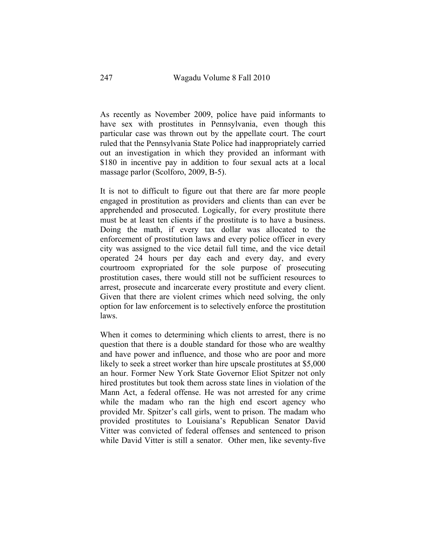As recently as November 2009, police have paid informants to have sex with prostitutes in Pennsylvania, even though this particular case was thrown out by the appellate court. The court ruled that the Pennsylvania State Police had inappropriately carried out an investigation in which they provided an informant with \$180 in incentive pay in addition to four sexual acts at a local massage parlor (Scolforo, 2009, B-5).

It is not to difficult to figure out that there are far more people engaged in prostitution as providers and clients than can ever be apprehended and prosecuted. Logically, for every prostitute there must be at least ten clients if the prostitute is to have a business. Doing the math, if every tax dollar was allocated to the enforcement of prostitution laws and every police officer in every city was assigned to the vice detail full time, and the vice detail operated 24 hours per day each and every day, and every courtroom expropriated for the sole purpose of prosecuting prostitution cases, there would still not be sufficient resources to arrest, prosecute and incarcerate every prostitute and every client. Given that there are violent crimes which need solving, the only option for law enforcement is to selectively enforce the prostitution laws.

When it comes to determining which clients to arrest, there is no question that there is a double standard for those who are wealthy and have power and influence, and those who are poor and more likely to seek a street worker than hire upscale prostitutes at \$5,000 an hour. Former New York State Governor Eliot Spitzer not only hired prostitutes but took them across state lines in violation of the Mann Act, a federal offense. He was not arrested for any crime while the madam who ran the high end escort agency who provided Mr. Spitzer's call girls, went to prison. The madam who provided prostitutes to Louisiana's Republican Senator David Vitter was convicted of federal offenses and sentenced to prison while David Vitter is still a senator. Other men, like seventy-five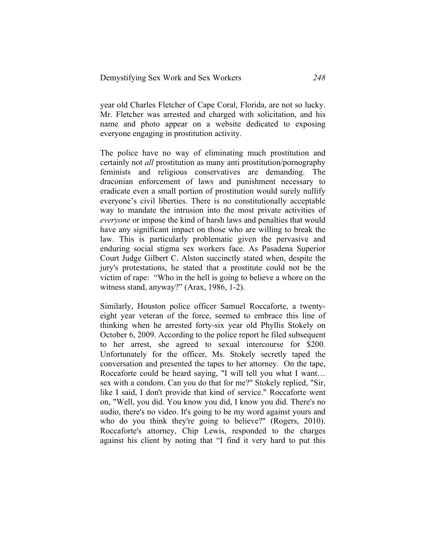year old Charles Fletcher of Cape Coral, Florida, are not so lucky. Mr. Fletcher was arrested and charged with solicitation, and his name and photo appear on a website dedicated to exposing everyone engaging in prostitution activity.

The police have no way of eliminating much prostitution and certainly not *all* prostitution as many anti prostitution/pornography feminists and religious conservatives are demanding. The draconian enforcement of laws and punishment necessary to eradicate even a small portion of prostitution would surely nullify everyone's civil liberties. There is no constitutionally acceptable way to mandate the intrusion into the most private activities of *everyone* or impose the kind of harsh laws and penalties that would have any significant impact on those who are willing to break the law. This is particularly problematic given the pervasive and enduring social stigma sex workers face. As Pasadena Superior Court Judge Gilbert C. Alston succinctly stated when, despite the jury's protestations, he stated that a prostitute could not be the victim of rape: "Who in the hell is going to believe a whore on the witness stand, anyway?" (Arax, 1986, 1-2).

Similarly, Houston police officer Samuel Roccaforte, a twentyeight year veteran of the force, seemed to embrace this line of thinking when he arrested forty-six year old Phyllis Stokely on October 6, 2009. According to the police report he filed subsequent to her arrest, she agreed to sexual intercourse for \$200. Unfortunately for the officer, Ms. Stokely secretly taped the conversation and presented the tapes to her attorney. On the tape, Roccaforte could be heard saying, "I will tell you what I want… sex with a condom. Can you do that for me?" Stokely replied, "Sir, like I said, I don't provide that kind of service." Roccaforte went on, "Well, you did. You know you did, I know you did. There's no audio, there's no video. It's going to be my word against yours and who do you think they're going to believe?" (Rogers, 2010). Roccaforte's attorney, Chip Lewis, responded to the charges against his client by noting that "I find it very hard to put this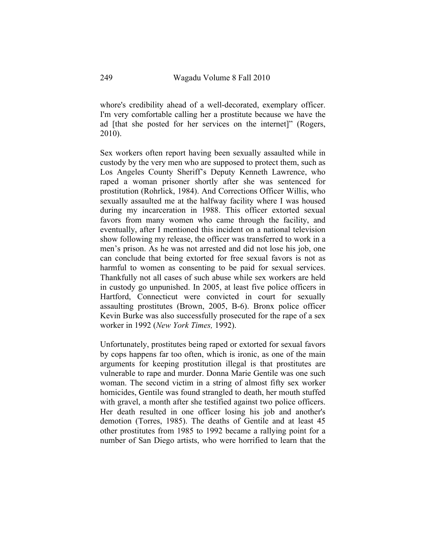whore's credibility ahead of a well-decorated, exemplary officer. I'm very comfortable calling her a prostitute because we have the ad [that she posted for her services on the internet]" (Rogers, 2010).

Sex workers often report having been sexually assaulted while in custody by the very men who are supposed to protect them, such as Los Angeles County Sheriff's Deputy Kenneth Lawrence, who raped a woman prisoner shortly after she was sentenced for prostitution (Rohrlick, 1984). And Corrections Officer Willis, who sexually assaulted me at the halfway facility where I was housed during my incarceration in 1988. This officer extorted sexual favors from many women who came through the facility, and eventually, after I mentioned this incident on a national television show following my release, the officer was transferred to work in a men's prison. As he was not arrested and did not lose his job, one can conclude that being extorted for free sexual favors is not as harmful to women as consenting to be paid for sexual services. Thankfully not all cases of such abuse while sex workers are held in custody go unpunished. In 2005, at least five police officers in Hartford, Connecticut were convicted in court for sexually assaulting prostitutes (Brown, 2005, B-6). Bronx police officer Kevin Burke was also successfully prosecuted for the rape of a sex worker in 1992 (*New York Times,* 1992).

Unfortunately, prostitutes being raped or extorted for sexual favors by cops happens far too often, which is ironic, as one of the main arguments for keeping prostitution illegal is that prostitutes are vulnerable to rape and murder. Donna Marie Gentile was one such woman. The second victim in a string of almost fifty sex worker homicides, Gentile was found strangled to death, her mouth stuffed with gravel, a month after she testified against two police officers. Her death resulted in one officer losing his job and another's demotion (Torres, 1985). The deaths of Gentile and at least 45 other prostitutes from 1985 to 1992 became a rallying point for a number of San Diego artists, who were horrified to learn that the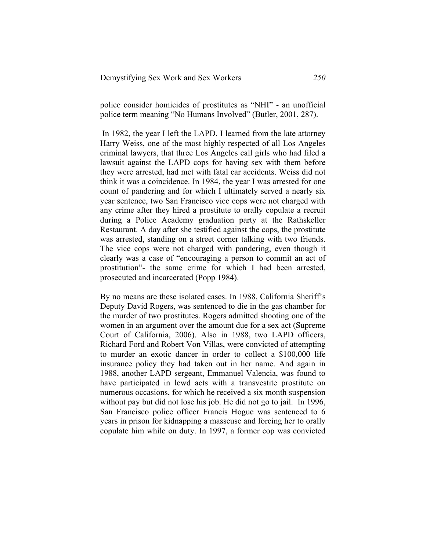police consider homicides of prostitutes as "NHI" - an unofficial police term meaning "No Humans Involved" (Butler, 2001, 287).

In 1982, the year I left the LAPD, I learned from the late attorney Harry Weiss, one of the most highly respected of all Los Angeles criminal lawyers, that three Los Angeles call girls who had filed a lawsuit against the LAPD cops for having sex with them before they were arrested, had met with fatal car accidents. Weiss did not think it was a coincidence. In 1984, the year I was arrested for one count of pandering and for which I ultimately served a nearly six year sentence, two San Francisco vice cops were not charged with any crime after they hired a prostitute to orally copulate a recruit during a Police Academy graduation party at the Rathskeller Restaurant. A day after she testified against the cops, the prostitute was arrested, standing on a street corner talking with two friends. The vice cops were not charged with pandering, even though it clearly was a case of "encouraging a person to commit an act of prostitution"- the same crime for which I had been arrested, prosecuted and incarcerated (Popp 1984).

By no means are these isolated cases. In 1988, California Sheriff's Deputy David Rogers, was sentenced to die in the gas chamber for the murder of two prostitutes. Rogers admitted shooting one of the women in an argument over the amount due for a sex act (Supreme Court of California, 2006). Also in 1988, two LAPD officers, Richard Ford and Robert Von Villas, were convicted of attempting to murder an exotic dancer in order to collect a \$100,000 life insurance policy they had taken out in her name. And again in 1988, another LAPD sergeant, Emmanuel Valencia, was found to have participated in lewd acts with a transvestite prostitute on numerous occasions, for which he received a six month suspension without pay but did not lose his job. He did not go to jail. In 1996, San Francisco police officer Francis Hogue was sentenced to 6 years in prison for kidnapping a masseuse and forcing her to orally copulate him while on duty. In 1997, a former cop was convicted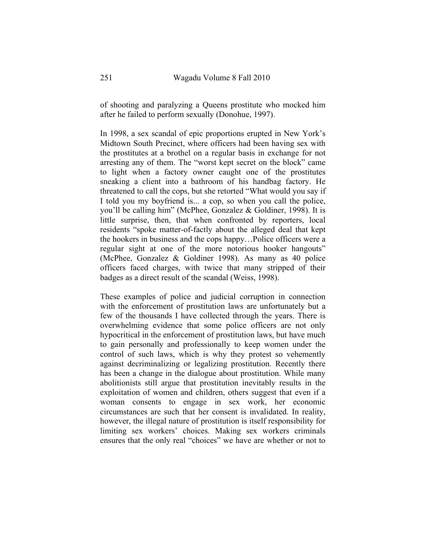of shooting and paralyzing a Queens prostitute who mocked him after he failed to perform sexually (Donohue, 1997).

In 1998, a sex scandal of epic proportions erupted in New York's Midtown South Precinct, where officers had been having sex with the prostitutes at a brothel on a regular basis in exchange for not arresting any of them. The "worst kept secret on the block" came to light when a factory owner caught one of the prostitutes sneaking a client into a bathroom of his handbag factory. He threatened to call the cops, but she retorted "What would you say if I told you my boyfriend is... a cop, so when you call the police, you'll be calling him" (McPhee, Gonzalez & Goldiner, 1998). It is little surprise, then, that when confronted by reporters, local residents "spoke matter-of-factly about the alleged deal that kept the hookers in business and the cops happy…Police officers were a regular sight at one of the more notorious hooker hangouts" (McPhee, Gonzalez & Goldiner 1998). As many as 40 police officers faced charges, with twice that many stripped of their badges as a direct result of the scandal (Weiss, 1998).

These examples of police and judicial corruption in connection with the enforcement of prostitution laws are unfortunately but a few of the thousands I have collected through the years. There is overwhelming evidence that some police officers are not only hypocritical in the enforcement of prostitution laws, but have much to gain personally and professionally to keep women under the control of such laws, which is why they protest so vehemently against decriminalizing or legalizing prostitution. Recently there has been a change in the dialogue about prostitution. While many abolitionists still argue that prostitution inevitably results in the exploitation of women and children, others suggest that even if a woman consents to engage in sex work, her economic circumstances are such that her consent is invalidated. In reality, however, the illegal nature of prostitution is itself responsibility for limiting sex workers' choices. Making sex workers criminals ensures that the only real "choices" we have are whether or not to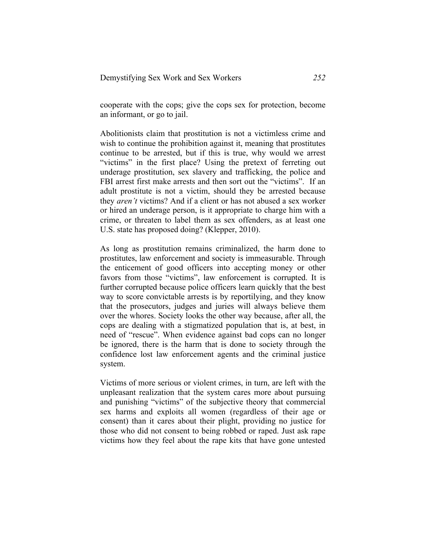cooperate with the cops; give the cops sex for protection, become an informant, or go to jail.

Abolitionists claim that prostitution is not a victimless crime and wish to continue the prohibition against it, meaning that prostitutes continue to be arrested, but if this is true, why would we arrest "victims" in the first place? Using the pretext of ferreting out underage prostitution, sex slavery and trafficking, the police and FBI arrest first make arrests and then sort out the "victims". If an adult prostitute is not a victim, should they be arrested because they *aren't* victims? And if a client or has not abused a sex worker or hired an underage person, is it appropriate to charge him with a crime, or threaten to label them as sex offenders, as at least one U.S. state has proposed doing? (Klepper, 2010).

As long as prostitution remains criminalized, the harm done to prostitutes, law enforcement and society is immeasurable. Through the enticement of good officers into accepting money or other favors from those "victims", law enforcement is corrupted. It is further corrupted because police officers learn quickly that the best way to score convictable arrests is by reportilying, and they know that the prosecutors, judges and juries will always believe them over the whores. Society looks the other way because, after all, the cops are dealing with a stigmatized population that is, at best, in need of "rescue". When evidence against bad cops can no longer be ignored, there is the harm that is done to society through the confidence lost law enforcement agents and the criminal justice system.

Victims of more serious or violent crimes, in turn, are left with the unpleasant realization that the system cares more about pursuing and punishing "victims" of the subjective theory that commercial sex harms and exploits all women (regardless of their age or consent) than it cares about their plight, providing no justice for those who did not consent to being robbed or raped. Just ask rape victims how they feel about the rape kits that have gone untested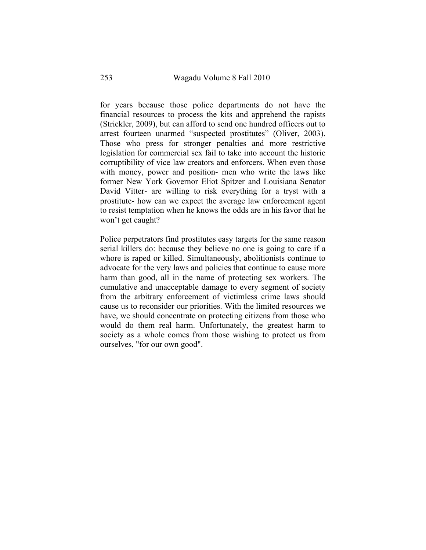for years because those police departments do not have the financial resources to process the kits and apprehend the rapists (Strickler, 2009), but can afford to send one hundred officers out to arrest fourteen unarmed "suspected prostitutes" (Oliver, 2003). Those who press for stronger penalties and more restrictive legislation for commercial sex fail to take into account the historic corruptibility of vice law creators and enforcers. When even those with money, power and position- men who write the laws like former New York Governor Eliot Spitzer and Louisiana Senator David Vitter- are willing to risk everything for a tryst with a prostitute- how can we expect the average law enforcement agent to resist temptation when he knows the odds are in his favor that he won't get caught?

Police perpetrators find prostitutes easy targets for the same reason serial killers do: because they believe no one is going to care if a whore is raped or killed. Simultaneously, abolitionists continue to advocate for the very laws and policies that continue to cause more harm than good, all in the name of protecting sex workers. The cumulative and unacceptable damage to every segment of society from the arbitrary enforcement of victimless crime laws should cause us to reconsider our priorities. With the limited resources we have, we should concentrate on protecting citizens from those who would do them real harm. Unfortunately, the greatest harm to society as a whole comes from those wishing to protect us from ourselves, "for our own good".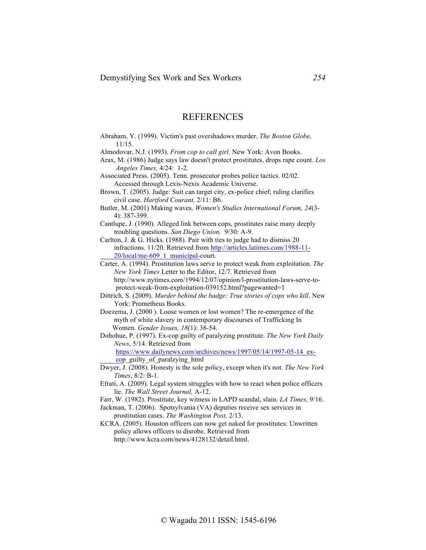### REFERENCES

Abraham, Y. (1999). Victim's past overshadows murder. *The Boston Globe,* 11/15. Almodovar, N.J. (1993). *From cop to call girl*. New York: Avon Books. Arax, M. (1986) Judge says law doesn't protect prostitutes, drops rape count. *Los Angeles Times,* 4/24: 1-2. Associated Press. (2005). Tenn. prosecutor probes police tactics. 02/02. Accessed through Lexis-Nexis Academic Universe. Brown, T. (2005). Judge: Suit can target city, ex-police chief; ruling clarifies civil case. *Hartford Courant,* 2/11: B6. Butler, M. (2001) Making waves. *Women's Studies International Forum, 24*(3- 4): 387-399. Cantlupe, J. (1990). Alleged link between cops, prostitutes raise many deeply troubling questions. *San Diego Union,* 9/30: A-9. Carlton, J. & G. Hicks. (1988). Pair with ties to judge had to dismiss 20 infractions. 11/20. Retrieved from http://articles.latimes.com/1988-11- 20/local/me-609\_1\_municipal-court. Carter, A. (1994). Prostitution laws serve to protect weak from exploitation. *The New York Times* Letter to the Editor, 12/7. Retrieved from http://www.nytimes.com/1994/12/07/opinion/l-prostitution-laws-serve-to protect-weak-from-exploitation-039152.html?pagewanted=1 Dittrich, S. (2009). *Murder behind the badge: True stories of cops who kill*. New York: Prometheus Books. Doezema, J. (2000 ). Loose women or lost women? The re-emergence of the

 myth of white slavery in contemporary discourses of Trafficking In Women. *Gender Issues, 18*(1): 38-54.

Dohohue, P. (1997). Ex-cop guilty of paralyzing prostitute. *The New York Daily News*, 5/14. Retrieved from

 https://www.dailynews.com/archives/news/1997/05/14/1997-05-14\_ex cop\_guilty\_of\_paralzying\_html

Dwyer, J. (2008). Honesty is the sole policy, except when it's not. *The New York Times*, 8/2: B-1.

Efrati, A. (2009). Legal system struggles with how to react when police officers lie. *The Wall Street Journal,* A-12.

Farr, W. (1982). Prostitute, key witness in LAPD scandal, slain. *LA Times,* 9/16.

Jackman, T. (2006). Spotsylvania (VA) deputies receive sex services in prostitution cases. *The Washington Post,* 2/13.

KCRA. (2005). Houston officers can now get naked for prostitutes: Unwritten policy allows officers to disrobe. Retrieved from http://www.kcra.com/news/4128132/detail.html.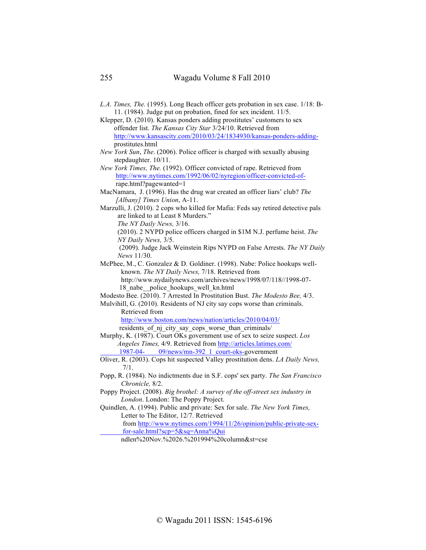*L.A. Times, The.* (1995). Long Beach officer gets probation in sex case. 1/18: B- 11. (1984). Judge put on probation, fined for sex incident. 11/5.

Klepper, D. (2010). Kansas ponders adding prostitutes' customers to sex offender list. *The Kansas City Star* 3/24/10. Retrieved from http://www.kansascity.com/2010/03/24/1834930/kansas-ponders-adding prostitutes.html

*New York Sun*, *The*. (2006). Police officer is charged with sexually abusing stepdaughter. 10/11.

*New York Times, The.* (1992). Officer convicted of rape. Retrieved from http://www.nytimes.com/1992/06/02/nyregion/officer-convicted-of rape.html?pagewanted=1

MacNamara, J. (1996). Has the drug war created an officer liars' club? *The [Albany] Times Union*, A-11.

Marzulli, J. (2010). 2 cops who killed for Mafia: Feds say retired detective pals are linked to at Least 8 Murders."  *The NY Daily News,* 3/16.

 (2010). 2 NYPD police officers charged in \$1M N.J. perfume heist. *The NY Daily News,* 3/5.

 (2009). Judge Jack Weinstein Rips NYPD on False Arrests. *The NY Daily News* 11/30.

McPhee, M., C. Gonzalez & D. Goldiner. (1998). Nabe: Police hookups well known. *The NY Daily News,* 7/18. Retrieved from http://www.nydailynews.com/archives/news/1998/07/118//1998-07- 18\_nabe\_\_police\_hookups\_well\_kn.html

Modesto Bee. (2010). 7 Arrested In Prostitution Bust. *The Modesto Bee,* 4/3.

Mulvihill, G. (2010). Residents of NJ city say cops worse than criminals. Retrieved from

 http://www.boston.com/news/nation/articles/2010/04/03/ residents of nj city say cops worse than criminals/

Murphy, K. (1987). Court OKs government use of sex to seize suspect. *Los Angeles Times,* 4/9. Retrieved from http://articles.latimes.com/ 1987-04- 09/news/mn-392\_1\_court-oks-government

Oliver, R. (2003). Cops hit suspected Valley prostitution dens. *LA Daily News,* 7/1.

Popp, R. (1984). No indictments due in S.F. cops' sex party. *The San Francisco Chronicle,* 8/2.

Poppy Project. (2008). *Big brothel: A survey of the off-street sex industry in London*. London: The Poppy Project.

Quindlen, A. (1994). Public and private: Sex for sale. *The New York Times,*  Letter to The Editor, 12/7. Retrieved

 from http://www.nytimes.com/1994/11/26/opinion/public-private-sex for-sale.html?scp=5&sq=Anna%Qui

ndlen%20Nov.%2026.%201994%20column&st=cse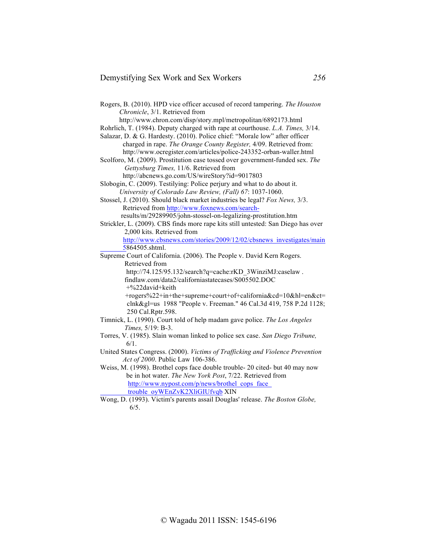#### Demystifying Sex Work and Sex Workers *256*

Rogers, B. (2010). HPD vice officer accused of record tampering. *The Houston Chronicle*, 3/1. Retrieved from http://www.chron.com/disp/story.mpl/metropolitan/6892173.html Rohrlich, T. (1984). Deputy charged with rape at courthouse. *L.A. Times,* 3/14. Salazar, D. & G. Hardesty. (2010). Police chief: "Morale low" after officer charged in rape. *The Orange County Register,* 4/09. Retrieved from: http://www.ocregister.com/articles/police-243352-orban-waller.html Scolforo, M. (2009). Prostitution case tossed over government-funded sex. *The Gettysburg Times,* 11/6. Retrieved from http://abcnews.go.com/US/wireStory?id=9017803 Slobogin, C. (2009). Testilying: Police perjury and what to do about it. *University of Colorado Law Review, (Fall) 67*: 1037-1060. Stossel, J. (2010). Should black market industries be legal? *Fox News,* 3/3. Retrieved from http://www.foxnews.com/search results/m/29289905/john-stossel-on-legalizing-prostitution.htm Strickler, L. (2009). CBS finds more rape kits still untested: San Diego has over 2,000 kits. Retrieved from http://www.cbsnews.com/stories/2009/12/02/cbsnews\_investigates/main 5864505.shtml. Supreme Court of California. (2006). The People v. David Kern Rogers. Retrieved from http://74.125/95.132/search?q=cache:rKD\_3WinziMJ:caselaw . findlaw.com/data2/californiastatecases/S005502.DOC +%22david+keith +rogers%22+in+the+supreme+court+of+california&cd=10&hl=en&ct= clnk&gl=us 1988 "People v. Freeman." 46 Cal.3d 419, 758 P.2d 1128; 250 Cal.Rptr.598. Timnick, L. (1990). Court told of help madam gave police. *The Los Angeles Times,* 5/19: B-3. Torres, V. (1985). Slain woman linked to police sex case. *San Diego Tribune,* 6/1. United States Congress. (2000). *Victims of Trafficking and Violence Prevention Act of 2000*. Public Law 106-386. Weiss, M. (1998). Brothel cops face double trouble- 20 cited- but 40 may now be in hot water. *The New York Post*, 7/22. Retrieved from

http://www.nypost.com/p/news/brothel\_cops\_face trouble\_oyWEnZvK2XliGIUfvqb XIN Wong, D. (1993). Victim's parents assail Douglas' release. *The Boston Globe,*

6/5.